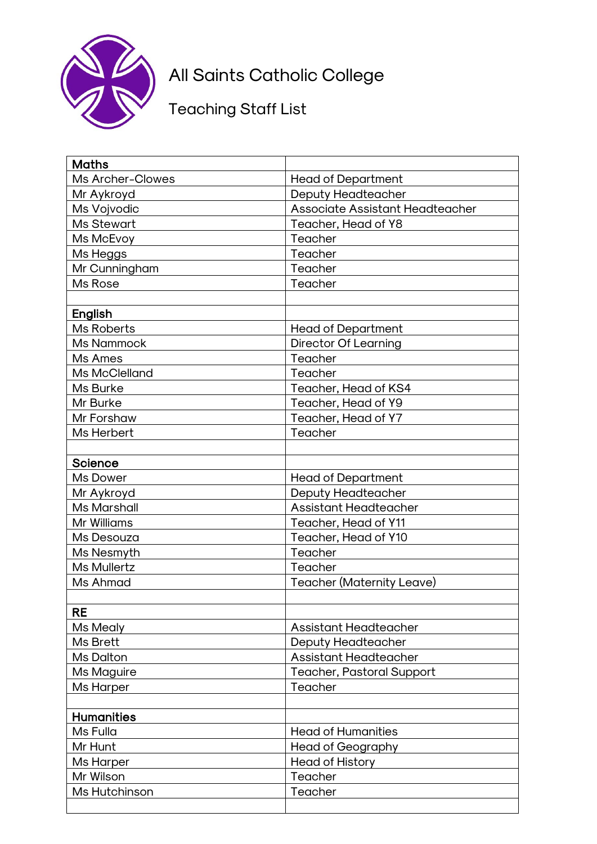

## All Saints Catholic College

## Teaching Staff List

| <b>Maths</b>            |                                        |
|-------------------------|----------------------------------------|
| <b>Ms Archer-Clowes</b> | <b>Head of Department</b>              |
| Mr Aykroyd              | <b>Deputy Headteacher</b>              |
| Ms Vojvodic             | <b>Associate Assistant Headteacher</b> |
| <b>Ms Stewart</b>       | Teacher, Head of Y8                    |
| Ms McEvoy               | Teacher                                |
| Ms Heggs                | Teacher                                |
| Mr Cunningham           | Teacher                                |
| Ms Rose                 | Teacher                                |
|                         |                                        |
| <b>English</b>          |                                        |
| <b>Ms Roberts</b>       | <b>Head of Department</b>              |
| <b>Ms Nammock</b>       | <b>Director Of Learning</b>            |
| Ms Ames                 | Teacher                                |
| Ms McClelland           | Teacher                                |
| Ms Burke                | Teacher, Head of KS4                   |
| Mr Burke                | Teacher, Head of Y9                    |
| Mr Forshaw              | Teacher, Head of Y7                    |
| Ms Herbert              | Teacher                                |
|                         |                                        |
| <b>Science</b>          |                                        |
| Ms Dower                | <b>Head of Department</b>              |
| Mr Aykroyd              | <b>Deputy Headteacher</b>              |
| <b>Ms Marshall</b>      | <b>Assistant Headteacher</b>           |
| Mr Williams             | Teacher, Head of Y11                   |
| Ms Desouza              | Teacher, Head of Y10                   |
| Ms Nesmyth              | Teacher                                |
| <b>Ms Mullertz</b>      | Teacher                                |
| Ms Ahmad                | <b>Teacher (Maternity Leave)</b>       |
|                         |                                        |
| <b>RE</b>               |                                        |
| Ms Mealy                | <b>Assistant Headteacher</b>           |
| Ms Brett                | <b>Deputy Headteacher</b>              |
| Ms Dalton               | <b>Assistant Headteacher</b>           |
| Ms Maguire              | <b>Teacher, Pastoral Support</b>       |
| <b>Ms Harper</b>        | Teacher                                |
|                         |                                        |
| <b>Humanities</b>       |                                        |
| Ms Fulla                | <b>Head of Humanities</b>              |
| Mr Hunt                 | <b>Head of Geography</b>               |
| <b>Ms Harper</b>        | <b>Head of History</b>                 |
| Mr Wilson               | Teacher                                |
| Ms Hutchinson           | Teacher                                |
|                         |                                        |